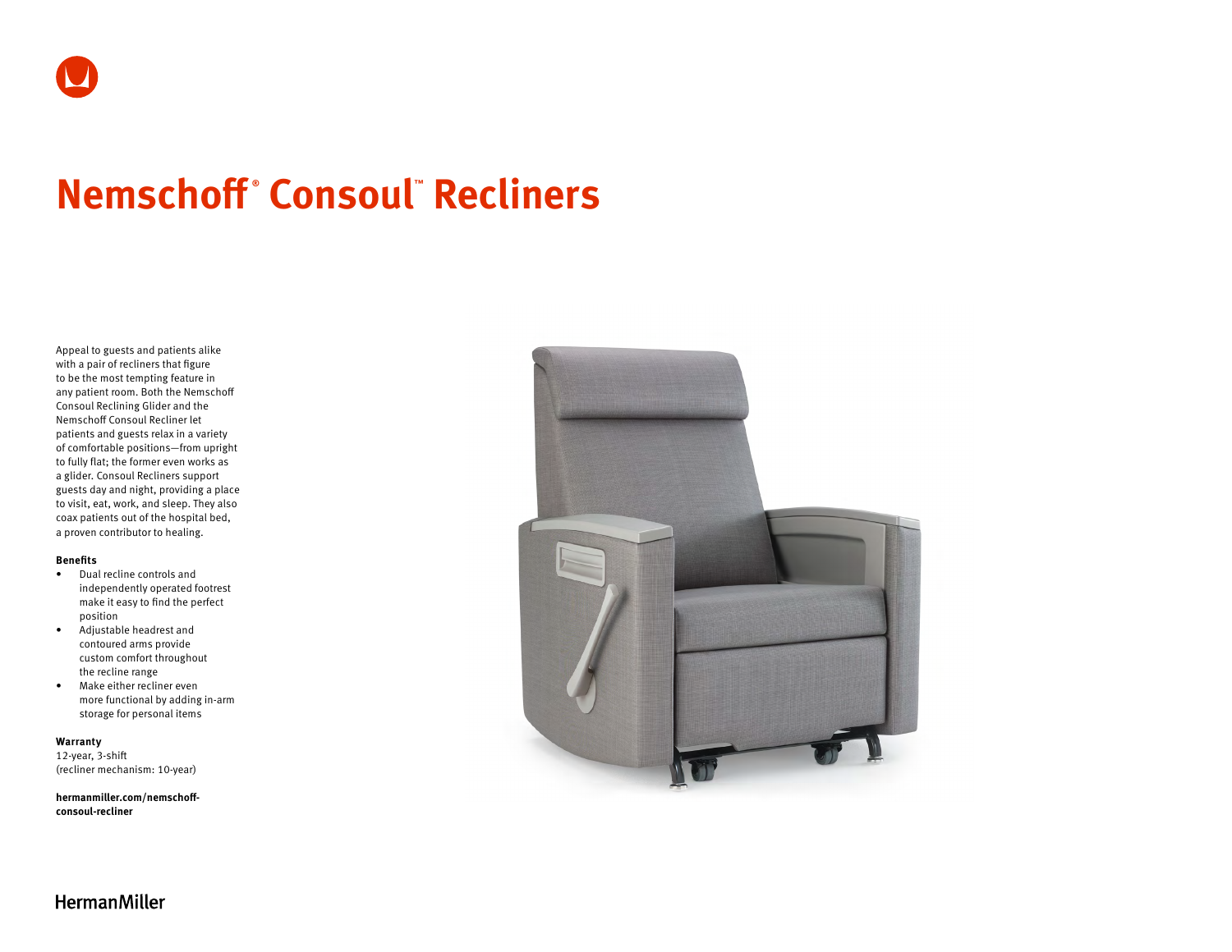# **Nemschoff ® Consoul™ Recliners**

Appeal to guests and patients alike with a pair of recliners that figure to be the most tempting feature in any patient room. Both the Nemschoff Consoul Reclining Glider and the Nemschoff Consoul Recliner let patients and guests relax in a variety of comfortable positions—from upright to fully flat; the former even works as a glider. Consoul Recliners support guests day and night, providing a place to visit, eat, work, and sleep. They also coax patients out of the hospital bed, a proven contributor to healing.

#### **Benefits**

- Dual recline controls and independently operated footrest make it easy to find the perfect position
- Adjustable headrest and contoured arms provide custom comfort throughout the recline range
- Make either recliner even more functional by adding in-arm storage for personal items

#### **Warranty**

12-year, 3-shift (recliner mechanism: 10-year)

**[hermanmiller.com/nemschoff](http://hermanmiller.com/nemschoff-consoul-recliner)[consoul-recliner](http://hermanmiller.com/nemschoff-consoul-recliner)**



**HermanMiller**